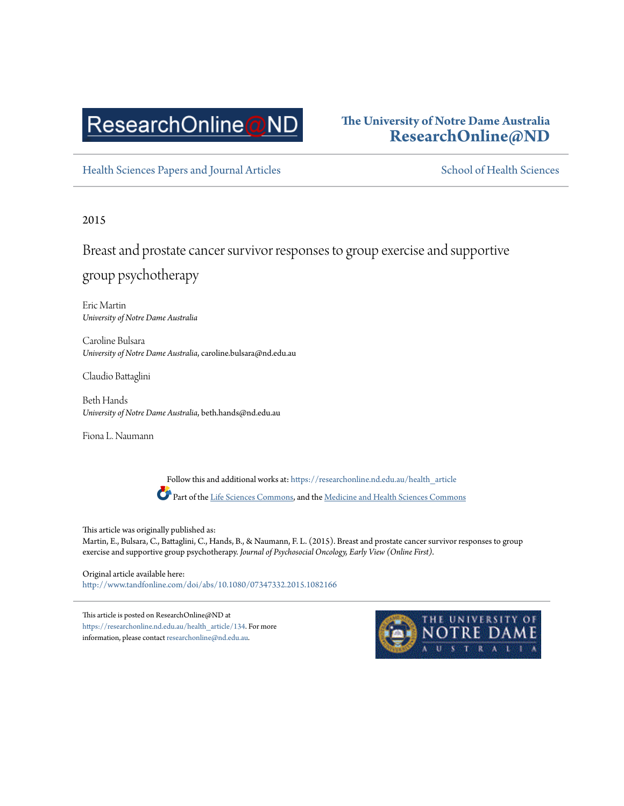# ResearchOnline@ND

### **The University of Notre Dame Australia [ResearchOnline@ND](https://researchonline.nd.edu.au?utm_source=researchonline.nd.edu.au%2Fhealth_article%2F134&utm_medium=PDF&utm_campaign=PDFCoverPages)**

[Health Sciences Papers and Journal Articles](https://researchonline.nd.edu.au/health_article?utm_source=researchonline.nd.edu.au%2Fhealth_article%2F134&utm_medium=PDF&utm_campaign=PDFCoverPages) [School of Health Sciences](https://researchonline.nd.edu.au/health?utm_source=researchonline.nd.edu.au%2Fhealth_article%2F134&utm_medium=PDF&utm_campaign=PDFCoverPages)

#### 2015

Breast and prostate cancer survivor responses to group exercise and supportive group psychotherapy

Eric Martin *University of Notre Dame Australia*

Caroline Bulsara *University of Notre Dame Australia*, caroline.bulsara@nd.edu.au

Claudio Battaglini

Beth Hands *University of Notre Dame Australia*, beth.hands@nd.edu.au

Fiona L. Naumann

Follow this and additional works at: [https://researchonline.nd.edu.au/health\\_article](https://researchonline.nd.edu.au/health_article?utm_source=researchonline.nd.edu.au%2Fhealth_article%2F134&utm_medium=PDF&utm_campaign=PDFCoverPages) Part of the [Life Sciences Commons,](http://network.bepress.com/hgg/discipline/1016?utm_source=researchonline.nd.edu.au%2Fhealth_article%2F134&utm_medium=PDF&utm_campaign=PDFCoverPages) and the [Medicine and Health Sciences Commons](http://network.bepress.com/hgg/discipline/648?utm_source=researchonline.nd.edu.au%2Fhealth_article%2F134&utm_medium=PDF&utm_campaign=PDFCoverPages)

This article was originally published as: Martin, E., Bulsara, C., Battaglini, C., Hands, B., & Naumann, F. L. (2015). Breast and prostate cancer survivor responses to group exercise and supportive group psychotherapy. *Journal of Psychosocial Oncology, Early View (Online First)*.

Original article available here: <http://www.tandfonline.com/doi/abs/10.1080/07347332.2015.1082166>

This article is posted on ResearchOnline@ND at [https://researchonline.nd.edu.au/health\\_article/134.](https://researchonline.nd.edu.au/health_article/134) For more information, please contact [researchonline@nd.edu.au.](mailto:researchonline@nd.edu.au)

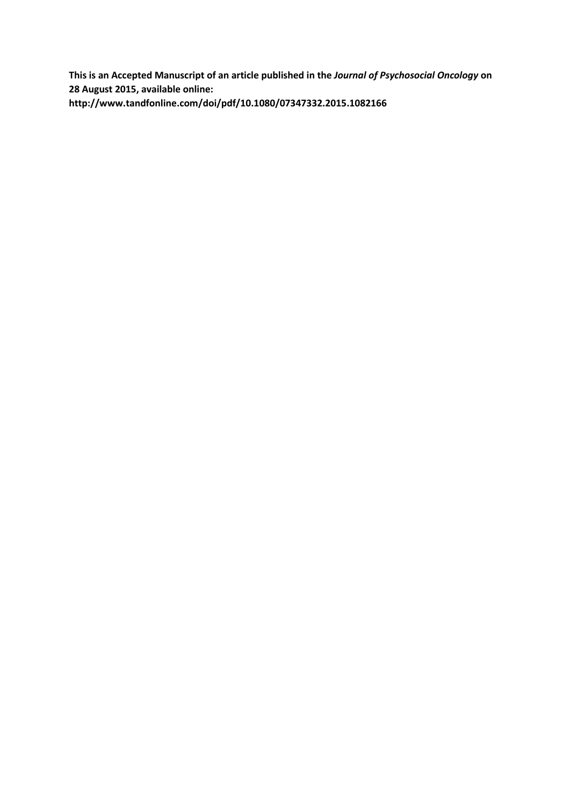**This is an Accepted Manuscript of an article published in the** *Journal of Psychosocial Oncology* **on 28 August 2015, available online: http://www.tandfonline.com/doi/pdf/10.1080/07347332.2015.1082166**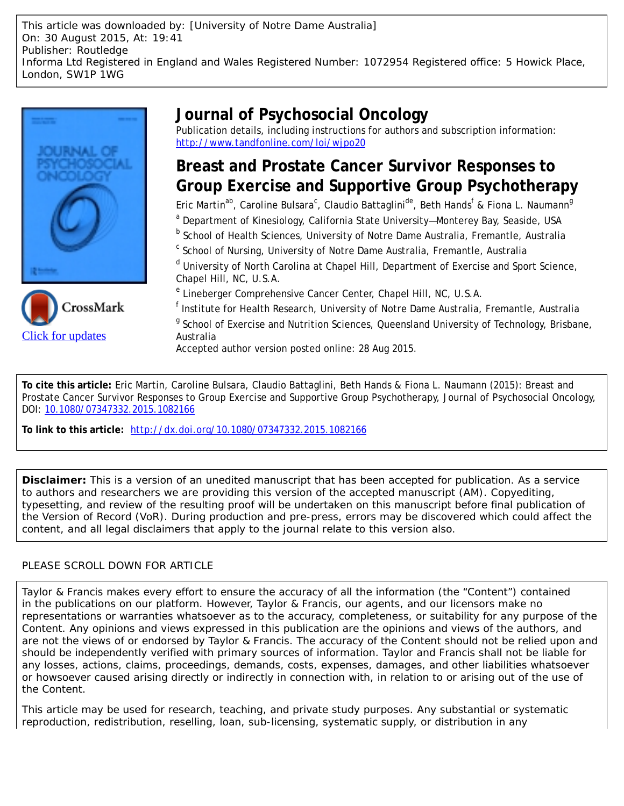This article was downloaded by: [University of Notre Dame Australia] On: 30 August 2015, At: 19:41 Publisher: Routledge Informa Ltd Registered in England and Wales Registered Number: 1072954 Registered office: 5 Howick Place, London, SW1P 1WG





### **Journal of Psychosocial Oncology**

Publication details, including instructions for authors and subscription information: <http://www.tandfonline.com/loi/wjpo20>

### **Breast and Prostate Cancer Survivor Responses to Group Exercise and Supportive Group Psychotherapy**

Eric Martin<sup>ab</sup>, Caroline Bulsara<sup>c</sup>, Claudio Battaglini<sup>de</sup>, Beth Hands<sup>f</sup> & Fiona L. Naumann<sup>g</sup>

<sup>a</sup> Department of Kinesiology, California State University–Monterey Bay, Seaside, USA

<sup>b</sup> School of Health Sciences, University of Notre Dame Australia, Fremantle, Australia

<sup>c</sup> School of Nursing, University of Notre Dame Australia, Fremantle, Australia

<sup>d</sup> University of North Carolina at Chapel Hill, Department of Exercise and Sport Science, Chapel Hill, NC, U.S.A.

<sup>e</sup> Lineberger Comprehensive Cancer Center, Chapel Hill, NC, U.S.A.

<sup>f</sup> Institute for Health Research, University of Notre Dame Australia, Fremantle, Australia <sup>g</sup> School of Exercise and Nutrition Sciences, Queensland University of Technology, Brisbane, Australia

Accepted author version posted online: 28 Aug 2015.

**To cite this article:** Eric Martin, Caroline Bulsara, Claudio Battaglini, Beth Hands & Fiona L. Naumann (2015): Breast and Prostate Cancer Survivor Responses to Group Exercise and Supportive Group Psychotherapy, Journal of Psychosocial Oncology, DOI: [10.1080/07347332.2015.1082166](http://www.tandfonline.com/action/showCitFormats?doi=10.1080/07347332.2015.1082166)

**To link to this article:** <http://dx.doi.org/10.1080/07347332.2015.1082166>

**Disclaimer:** This is a version of an unedited manuscript that has been accepted for publication. As a service to authors and researchers we are providing this version of the accepted manuscript (AM). Copyediting, typesetting, and review of the resulting proof will be undertaken on this manuscript before final publication of the Version of Record (VoR). During production and pre-press, errors may be discovered which could affect the content, and all legal disclaimers that apply to the journal relate to this version also.

### PLEASE SCROLL DOWN FOR ARTICLE

Taylor & Francis makes every effort to ensure the accuracy of all the information (the "Content") contained in the publications on our platform. However, Taylor & Francis, our agents, and our licensors make no representations or warranties whatsoever as to the accuracy, completeness, or suitability for any purpose of the Content. Any opinions and views expressed in this publication are the opinions and views of the authors, and are not the views of or endorsed by Taylor & Francis. The accuracy of the Content should not be relied upon and should be independently verified with primary sources of information. Taylor and Francis shall not be liable for any losses, actions, claims, proceedings, demands, costs, expenses, damages, and other liabilities whatsoever or howsoever caused arising directly or indirectly in connection with, in relation to or arising out of the use of the Content.

This article may be used for research, teaching, and private study purposes. Any substantial or systematic reproduction, redistribution, reselling, loan, sub-licensing, systematic supply, or distribution in any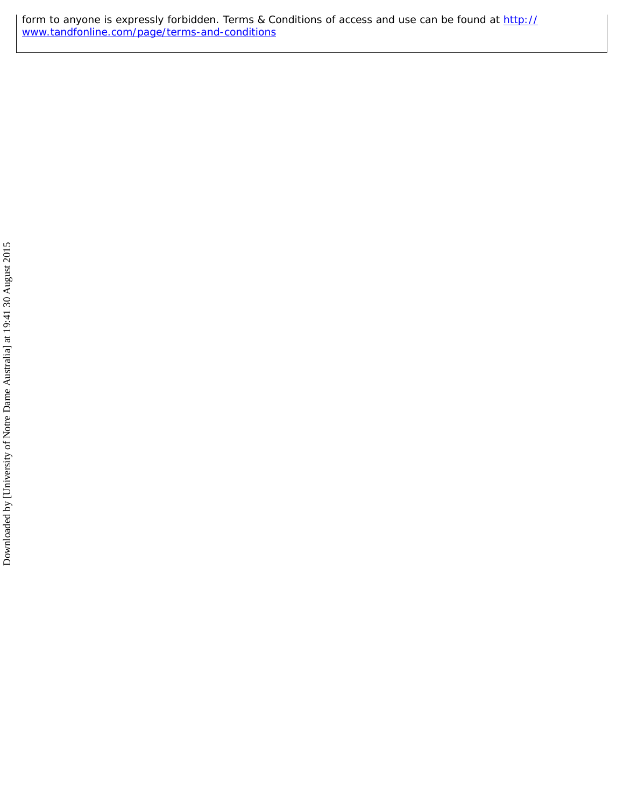form to anyone is expressly forbidden. Terms & Conditions of access and use can be found at [http://](http://www.tandfonline.com/page/terms-and-conditions) [www.tandfonline.com/page/terms-and-conditions](http://www.tandfonline.com/page/terms-and-conditions)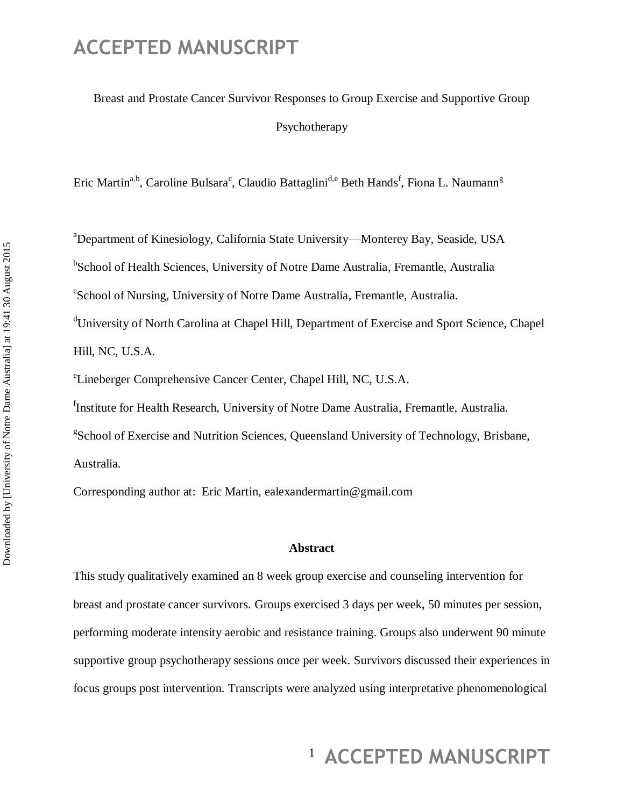## Breast and Prostate Cancer Survivor Responses to Group Exercise and Supportive Group Psychotherapy

Eric Martin<sup>a,b</sup>, Caroline Bulsara<sup>c</sup>, Claudio Battaglini<sup>d,e</sup> Beth Hands<sup>f</sup>, Fiona L. Naumann<sup>g</sup>

<sup>a</sup>Department of Kinesiology, California State University—Monterey Bay, Seaside, USA <sup>b</sup>School of Health Sciences, University of Notre Dame Australia, Fremantle, Australia c School of Nursing, University of Notre Dame Australia, Fremantle, Australia. <sup>d</sup>University of North Carolina at Chapel Hill, Department of Exercise and Sport Science, Chapel Hill, NC, U.S.A.

e Lineberger Comprehensive Cancer Center, Chapel Hill, NC, U.S.A.

<sup>f</sup>Institute for Health Research, University of Notre Dame Australia, Fremantle, Australia.

<sup>g</sup>School of Exercise and Nutrition Sciences, Queensland University of Technology, Brisbane, Australia.

Corresponding author at: Eric Martin, [ealexandermartin@gmail.com](mailto:ealexandermartin@gmail.com)

#### **Abstract**

This study qualitatively examined an 8 week group exercise and counseling intervention for breast and prostate cancer survivors. Groups exercised 3 days per week, 50 minutes per session, performing moderate intensity aerobic and resistance training. Groups also underwent 90 minute supportive group psychotherapy sessions once per week. Survivors discussed their experiences in focus groups post intervention. Transcripts were analyzed using interpretative phenomenological

## <sup>1</sup> ACCEPTED MANUSCRIPT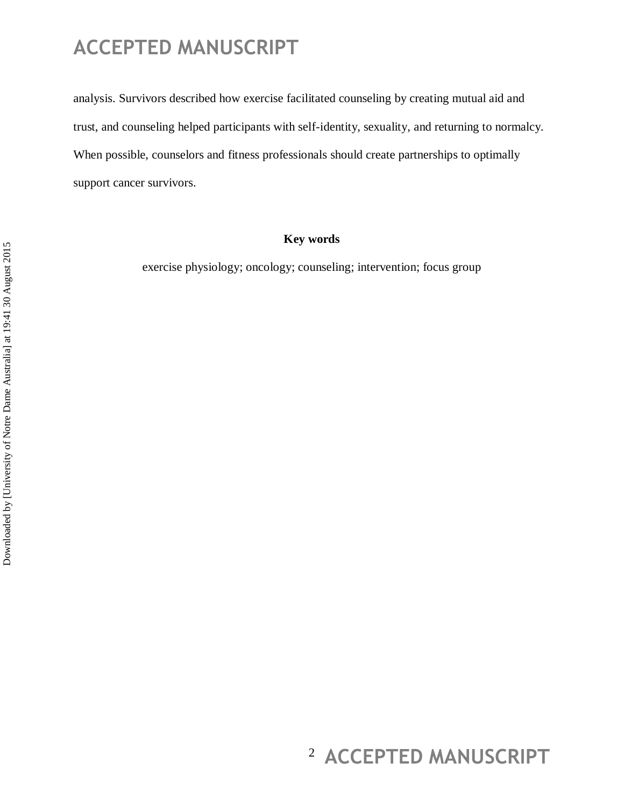analysis. Survivors described how exercise facilitated counseling by creating mutual aid and trust, and counseling helped participants with self-identity, sexuality, and returning to normalcy. When possible, counselors and fitness professionals should create partnerships to optimally support cancer survivors.

#### **Key words**

exercise physiology; oncology; counseling; intervention; focus group

## <sup>2</sup> ACCEPTED MANUSCRIPT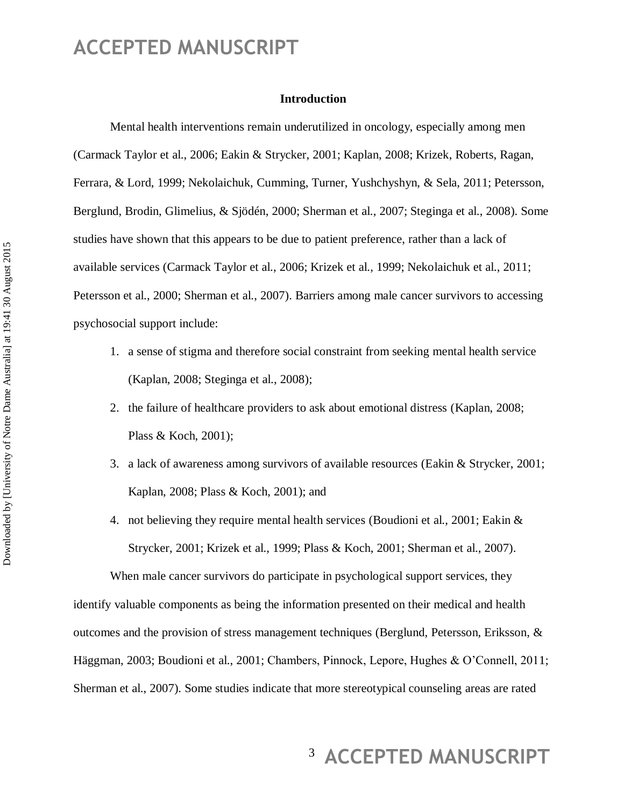#### **Introduction**

Mental health interventions remain underutilized in oncology, especially among men (Carmack Taylor et al., 2006; Eakin & Strycker, 2001; Kaplan, 2008; Krizek, Roberts, Ragan, Ferrara, & Lord, 1999; Nekolaichuk, Cumming, Turner, Yushchyshyn, & Sela, 2011; Petersson, Berglund, Brodin, Glimelius, & Sjödén, 2000; Sherman et al., 2007; Steginga et al., 2008). Some studies have shown that this appears to be due to patient preference, rather than a lack of available services (Carmack Taylor et al., 2006; Krizek et al., 1999; Nekolaichuk et al., 2011; Petersson et al., 2000; Sherman et al., 2007). Barriers among male cancer survivors to accessing psychosocial support include:

- 1. a sense of stigma and therefore social constraint from seeking mental health service (Kaplan, 2008; Steginga et al., 2008);
- 2. the failure of healthcare providers to ask about emotional distress (Kaplan, 2008; Plass & Koch, 2001);
- 3. a lack of awareness among survivors of available resources (Eakin & Strycker, 2001; Kaplan, 2008; Plass & Koch, 2001); and
- 4. not believing they require mental health services (Boudioni et al., 2001; Eakin & Strycker, 2001; Krizek et al., 1999; Plass & Koch, 2001; Sherman et al., 2007).

When male cancer survivors do participate in psychological support services, they identify valuable components as being the information presented on their medical and health outcomes and the provision of stress management techniques (Berglund, Petersson, Eriksson, & Häggman, 2003; Boudioni et al., 2001; Chambers, Pinnock, Lepore, Hughes & O'Connell, 2011; Sherman et al., 2007). Some studies indicate that more stereotypical counseling areas are rated

## <sup>3</sup> ACCEPTED MANUSCRIPT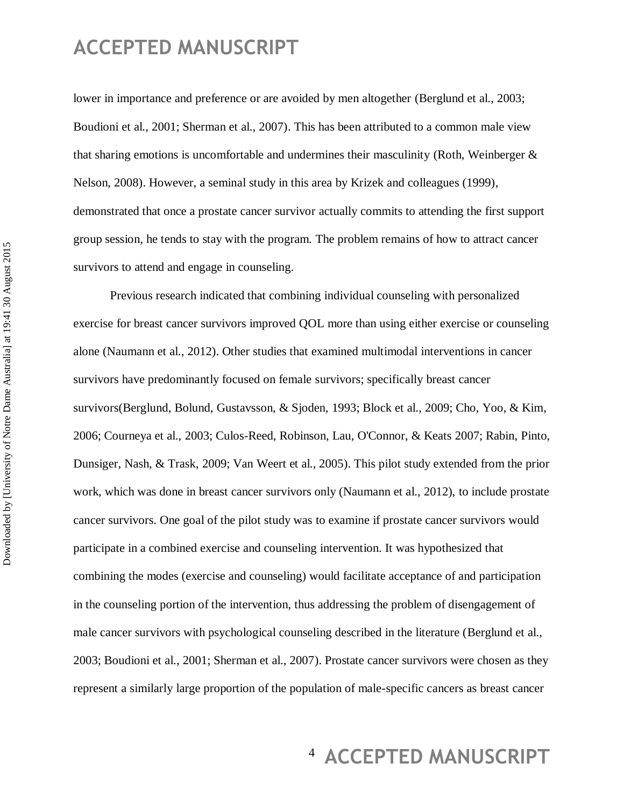lower in importance and preference or are avoided by men altogether (Berglund et al., 2003; Boudioni et al., 2001; Sherman et al., 2007). This has been attributed to a common male view that sharing emotions is uncomfortable and undermines their masculinity (Roth, Weinberger  $\&$ Nelson, 2008). However, a seminal study in this area by Krizek and colleagues (1999), demonstrated that once a prostate cancer survivor actually commits to attending the first support group session, he tends to stay with the program. The problem remains of how to attract cancer survivors to attend and engage in counseling.

Previous research indicated that combining individual counseling with personalized exercise for breast cancer survivors improved QOL more than using either exercise or counseling alone (Naumann et al., 2012). Other studies that examined multimodal interventions in cancer survivors have predominantly focused on female survivors; specifically breast cancer survivors(Berglund, Bolund, Gustavsson, & Sjoden, 1993; Block et al., 2009; Cho, Yoo, & Kim, 2006; Courneya et al., 2003; Culos-Reed, Robinson, Lau, O'Connor, & Keats 2007; Rabin, Pinto, Dunsiger, Nash, & Trask, 2009; Van Weert et al., 2005). This pilot study extended from the prior work, which was done in breast cancer survivors only (Naumann et al., 2012), to include prostate cancer survivors. One goal of the pilot study was to examine if prostate cancer survivors would participate in a combined exercise and counseling intervention. It was hypothesized that combining the modes (exercise and counseling) would facilitate acceptance of and participation in the counseling portion of the intervention, thus addressing the problem of disengagement of male cancer survivors with psychological counseling described in the literature (Berglund et al., 2003; Boudioni et al., 2001; Sherman et al., 2007). Prostate cancer survivors were chosen as they represent a similarly large proportion of the population of male-specific cancers as breast cancer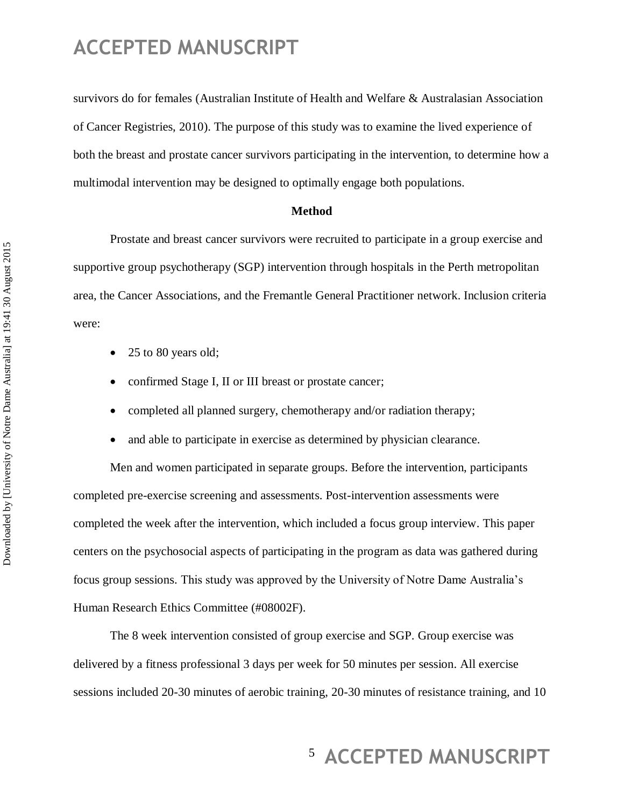survivors do for females (Australian Institute of Health and Welfare & Australasian Association of Cancer Registries, 2010). The purpose of this study was to examine the lived experience of both the breast and prostate cancer survivors participating in the intervention, to determine how a multimodal intervention may be designed to optimally engage both populations.

#### **Method**

Prostate and breast cancer survivors were recruited to participate in a group exercise and supportive group psychotherapy (SGP) intervention through hospitals in the Perth metropolitan area, the Cancer Associations, and the Fremantle General Practitioner network. Inclusion criteria were:

- 25 to 80 years old;
- confirmed Stage I, II or III breast or prostate cancer;
- completed all planned surgery, chemotherapy and/or radiation therapy;
- and able to participate in exercise as determined by physician clearance.

Men and women participated in separate groups. Before the intervention, participants completed pre-exercise screening and assessments. Post-intervention assessments were completed the week after the intervention, which included a focus group interview. This paper centers on the psychosocial aspects of participating in the program as data was gathered during focus group sessions. This study was approved by the University of Notre Dame Australia's Human Research Ethics Committee (#08002F).

The 8 week intervention consisted of group exercise and SGP. Group exercise was delivered by a fitness professional 3 days per week for 50 minutes per session. All exercise sessions included 20-30 minutes of aerobic training, 20-30 minutes of resistance training, and 10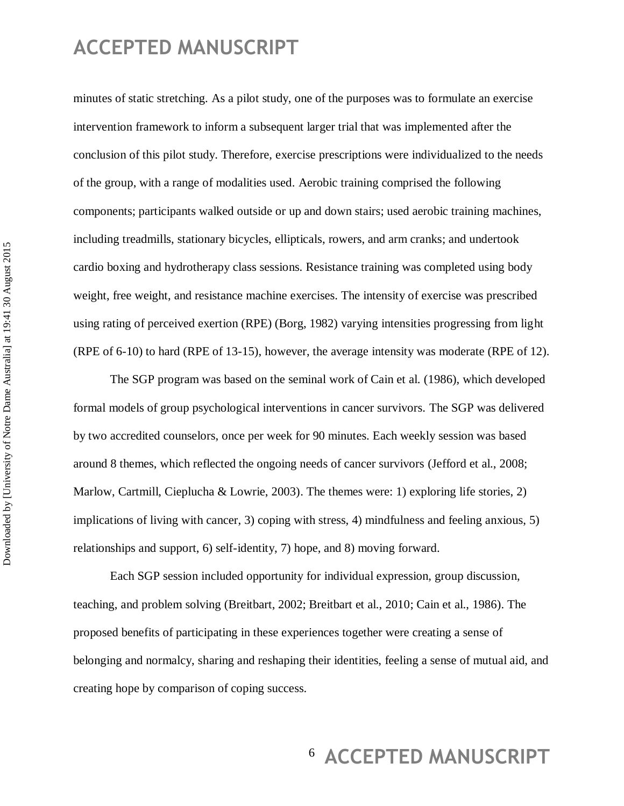minutes of static stretching. As a pilot study, one of the purposes was to formulate an exercise intervention framework to inform a subsequent larger trial that was implemented after the conclusion of this pilot study. Therefore, exercise prescriptions were individualized to the needs of the group, with a range of modalities used. Aerobic training comprised the following components; participants walked outside or up and down stairs; used aerobic training machines, including treadmills, stationary bicycles, ellipticals, rowers, and arm cranks; and undertook cardio boxing and hydrotherapy class sessions. Resistance training was completed using body weight, free weight, and resistance machine exercises. The intensity of exercise was prescribed using rating of perceived exertion (RPE) (Borg, 1982) varying intensities progressing from light (RPE of 6-10) to hard (RPE of 13-15), however, the average intensity was moderate (RPE of 12).

The SGP program was based on the seminal work of Cain et al. (1986), which developed formal models of group psychological interventions in cancer survivors. The SGP was delivered by two accredited counselors, once per week for 90 minutes. Each weekly session was based around 8 themes, which reflected the ongoing needs of cancer survivors (Jefford et al., 2008; Marlow, Cartmill, Cieplucha & Lowrie, 2003). The themes were: 1) exploring life stories, 2) implications of living with cancer, 3) coping with stress, 4) mindfulness and feeling anxious, 5) relationships and support, 6) self-identity, 7) hope, and 8) moving forward.

Each SGP session included opportunity for individual expression, group discussion, teaching, and problem solving (Breitbart, 2002; Breitbart et al., 2010; Cain et al., 1986). The proposed benefits of participating in these experiences together were creating a sense of belonging and normalcy, sharing and reshaping their identities, feeling a sense of mutual aid, and creating hope by comparison of coping success.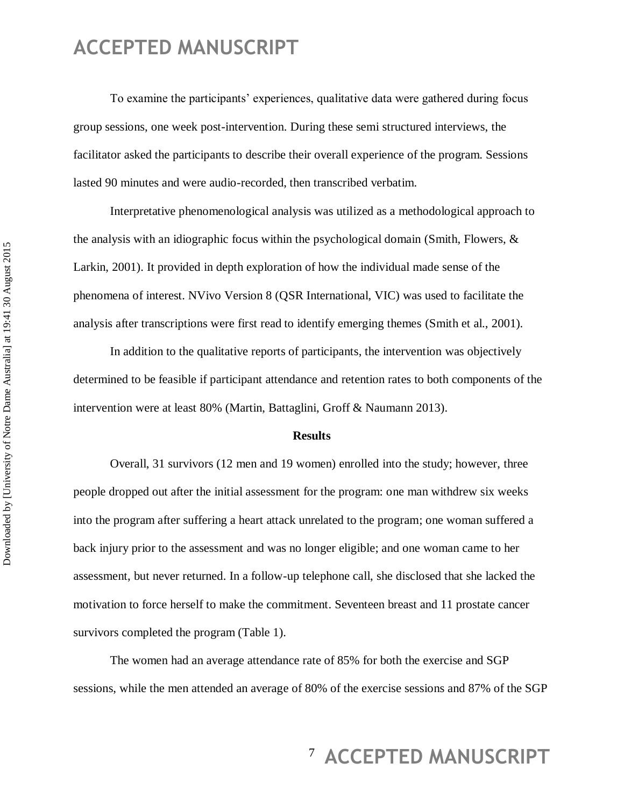To examine the participants' experiences, qualitative data were gathered during focus group sessions, one week post-intervention. During these semi structured interviews, the facilitator asked the participants to describe their overall experience of the program. Sessions lasted 90 minutes and were audio-recorded, then transcribed verbatim.

Interpretative phenomenological analysis was utilized as a methodological approach to the analysis with an idiographic focus within the psychological domain (Smith, Flowers,  $\&$ Larkin, 2001). It provided in depth exploration of how the individual made sense of the phenomena of interest. NVivo Version 8 (QSR International, VIC) was used to facilitate the analysis after transcriptions were first read to identify emerging themes (Smith et al., 2001).

In addition to the qualitative reports of participants, the intervention was objectively determined to be feasible if participant attendance and retention rates to both components of the intervention were at least 80% (Martin, Battaglini, Groff & Naumann 2013).

#### **Results**

Overall, 31 survivors (12 men and 19 women) enrolled into the study; however, three people dropped out after the initial assessment for the program: one man withdrew six weeks into the program after suffering a heart attack unrelated to the program; one woman suffered a back injury prior to the assessment and was no longer eligible; and one woman came to her assessment, but never returned. In a follow-up telephone call, she disclosed that she lacked the motivation to force herself to make the commitment. Seventeen breast and 11 prostate cancer survivors completed the program (Table 1).

The women had an average attendance rate of 85% for both the exercise and SGP sessions, while the men attended an average of 80% of the exercise sessions and 87% of the SGP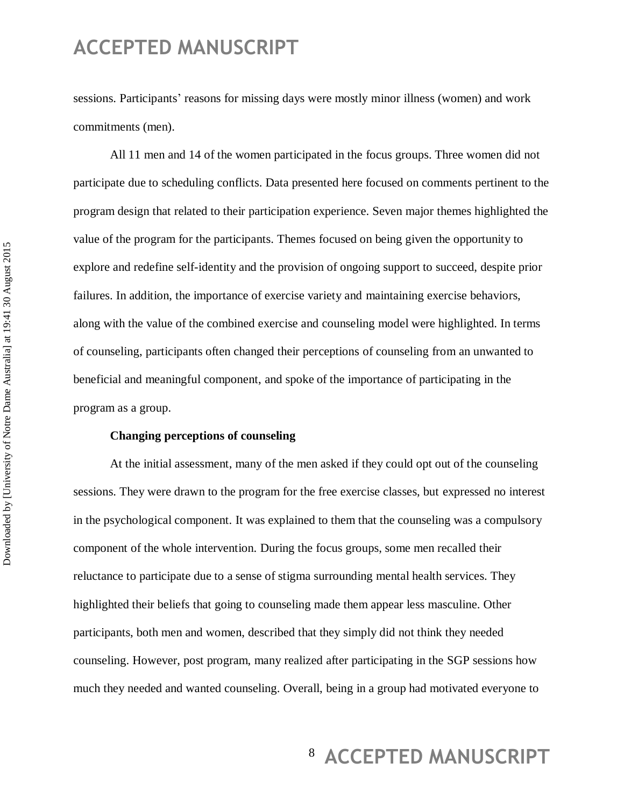sessions. Participants' reasons for missing days were mostly minor illness (women) and work commitments (men).

All 11 men and 14 of the women participated in the focus groups. Three women did not participate due to scheduling conflicts. Data presented here focused on comments pertinent to the program design that related to their participation experience. Seven major themes highlighted the value of the program for the participants. Themes focused on being given the opportunity to explore and redefine self-identity and the provision of ongoing support to succeed, despite prior failures. In addition, the importance of exercise variety and maintaining exercise behaviors, along with the value of the combined exercise and counseling model were highlighted. In terms of counseling, participants often changed their perceptions of counseling from an unwanted to beneficial and meaningful component, and spoke of the importance of participating in the program as a group.

#### **Changing perceptions of counseling**

At the initial assessment, many of the men asked if they could opt out of the counseling sessions. They were drawn to the program for the free exercise classes, but expressed no interest in the psychological component. It was explained to them that the counseling was a compulsory component of the whole intervention. During the focus groups, some men recalled their reluctance to participate due to a sense of stigma surrounding mental health services. They highlighted their beliefs that going to counseling made them appear less masculine. Other participants, both men and women, described that they simply did not think they needed counseling. However, post program, many realized after participating in the SGP sessions how much they needed and wanted counseling. Overall, being in a group had motivated everyone to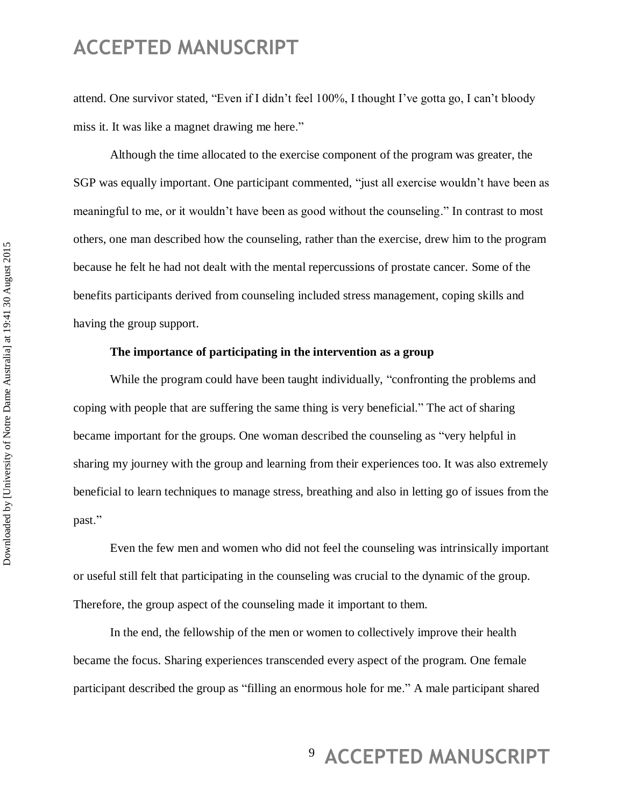attend. One survivor stated, "Even if I didn't feel 100%, I thought I've gotta go, I can't bloody miss it. It was like a magnet drawing me here."

Although the time allocated to the exercise component of the program was greater, the SGP was equally important. One participant commented, "just all exercise wouldn't have been as meaningful to me, or it wouldn't have been as good without the counseling." In contrast to most others, one man described how the counseling, rather than the exercise, drew him to the program because he felt he had not dealt with the mental repercussions of prostate cancer. Some of the benefits participants derived from counseling included stress management, coping skills and having the group support.

#### **The importance of participating in the intervention as a group**

While the program could have been taught individually, "confronting the problems and coping with people that are suffering the same thing is very beneficial." The act of sharing became important for the groups. One woman described the counseling as "very helpful in sharing my journey with the group and learning from their experiences too. It was also extremely beneficial to learn techniques to manage stress, breathing and also in letting go of issues from the past."

Even the few men and women who did not feel the counseling was intrinsically important or useful still felt that participating in the counseling was crucial to the dynamic of the group. Therefore, the group aspect of the counseling made it important to them.

In the end, the fellowship of the men or women to collectively improve their health became the focus. Sharing experiences transcended every aspect of the program. One female participant described the group as "filling an enormous hole for me." A male participant shared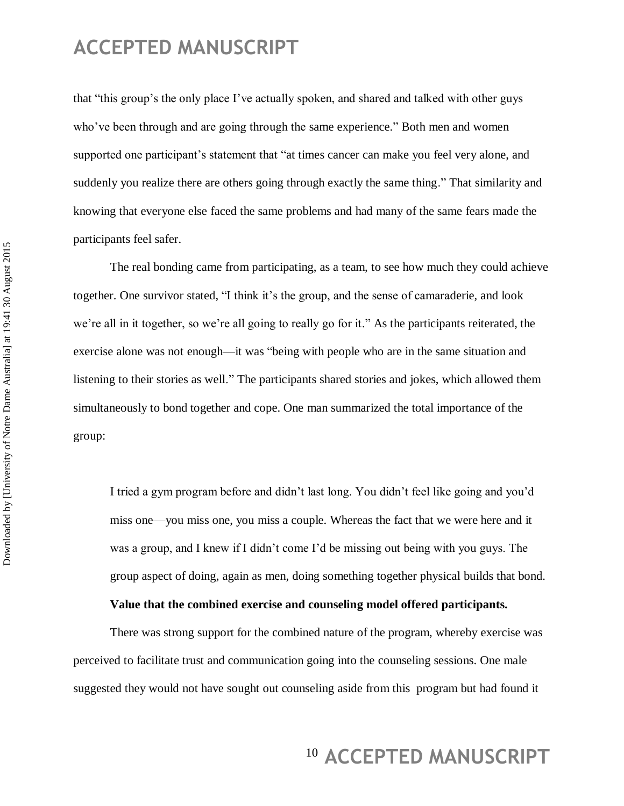that "this group's the only place I've actually spoken, and shared and talked with other guys who've been through and are going through the same experience." Both men and women supported one participant's statement that "at times cancer can make you feel very alone, and suddenly you realize there are others going through exactly the same thing." That similarity and knowing that everyone else faced the same problems and had many of the same fears made the participants feel safer.

The real bonding came from participating, as a team, to see how much they could achieve together. One survivor stated, "I think it's the group, and the sense of camaraderie, and look we're all in it together, so we're all going to really go for it." As the participants reiterated, the exercise alone was not enough—it was "being with people who are in the same situation and listening to their stories as well." The participants shared stories and jokes, which allowed them simultaneously to bond together and cope. One man summarized the total importance of the group:

I tried a gym program before and didn't last long. You didn't feel like going and you'd miss one—you miss one, you miss a couple. Whereas the fact that we were here and it was a group, and I knew if I didn't come I'd be missing out being with you guys. The group aspect of doing, again as men, doing something together physical builds that bond.

### **Value that the combined exercise and counseling model offered participants.**

There was strong support for the combined nature of the program, whereby exercise was perceived to facilitate trust and communication going into the counseling sessions. One male suggested they would not have sought out counseling aside from this program but had found it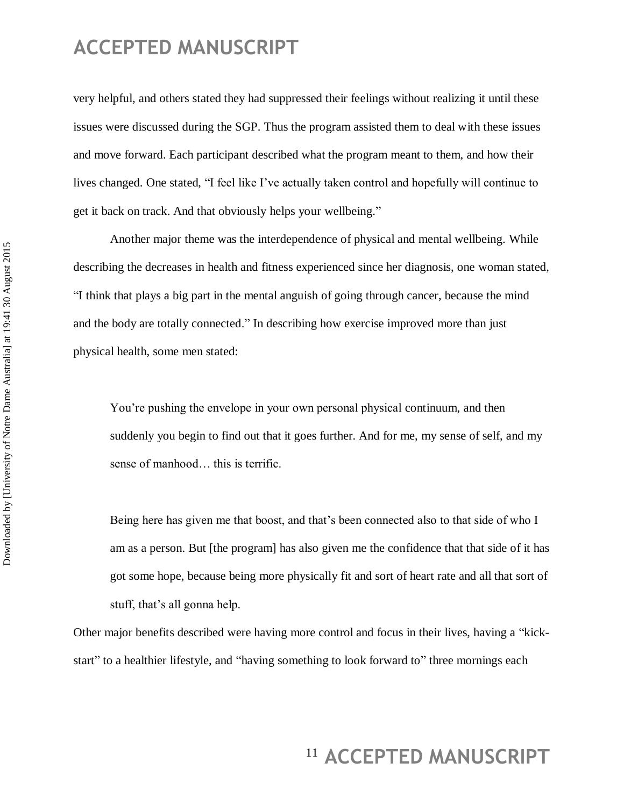very helpful, and others stated they had suppressed their feelings without realizing it until these issues were discussed during the SGP. Thus the program assisted them to deal with these issues and move forward. Each participant described what the program meant to them, and how their lives changed. One stated, "I feel like I've actually taken control and hopefully will continue to get it back on track. And that obviously helps your wellbeing."

Another major theme was the interdependence of physical and mental wellbeing. While describing the decreases in health and fitness experienced since her diagnosis, one woman stated, ―I think that plays a big part in the mental anguish of going through cancer, because the mind and the body are totally connected." In describing how exercise improved more than just physical health, some men stated:

You're pushing the envelope in your own personal physical continuum, and then suddenly you begin to find out that it goes further. And for me, my sense of self, and my sense of manhood… this is terrific.

Being here has given me that boost, and that's been connected also to that side of who I am as a person. But [the program] has also given me the confidence that that side of it has got some hope, because being more physically fit and sort of heart rate and all that sort of stuff, that's all gonna help.

Other major benefits described were having more control and focus in their lives, having a "kickstart" to a healthier lifestyle, and "having something to look forward to" three mornings each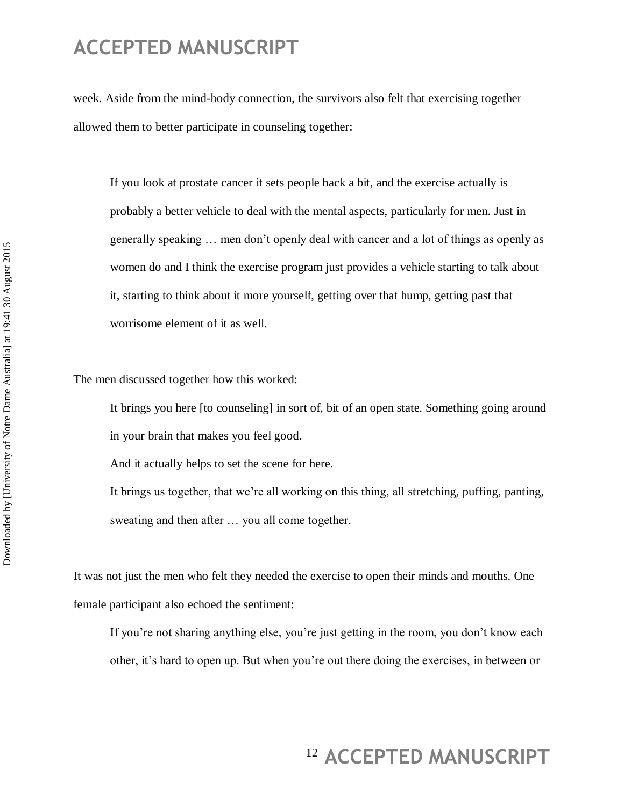week. Aside from the mind-body connection, the survivors also felt that exercising together allowed them to better participate in counseling together:

If you look at prostate cancer it sets people back a bit, and the exercise actually is probably a better vehicle to deal with the mental aspects, particularly for men. Just in generally speaking … men don't openly deal with cancer and a lot of things as openly as women do and I think the exercise program just provides a vehicle starting to talk about it, starting to think about it more yourself, getting over that hump, getting past that worrisome element of it as well.

The men discussed together how this worked:

It brings you here [to counseling] in sort of, bit of an open state. Something going around in your brain that makes you feel good.

And it actually helps to set the scene for here.

It brings us together, that we're all working on this thing, all stretching, puffing, panting, sweating and then after … you all come together.

It was not just the men who felt they needed the exercise to open their minds and mouths. One female participant also echoed the sentiment:

If you're not sharing anything else, you're just getting in the room, you don't know each other, it's hard to open up. But when you're out there doing the exercises, in between or

## <sup>12</sup> ACCEPTED MANUSCRIPT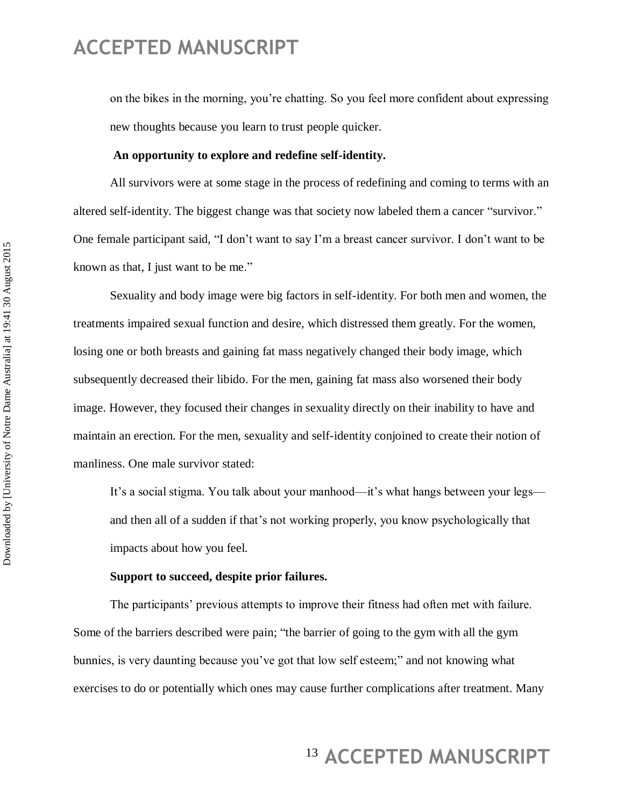on the bikes in the morning, you're chatting. So you feel more confident about expressing new thoughts because you learn to trust people quicker.

#### **An opportunity to explore and redefine self-identity.**

All survivors were at some stage in the process of redefining and coming to terms with an altered self-identity. The biggest change was that society now labeled them a cancer "survivor." One female participant said, "I don't want to say I'm a breast cancer survivor. I don't want to be known as that, I just want to be me."

Sexuality and body image were big factors in self-identity. For both men and women, the treatments impaired sexual function and desire, which distressed them greatly. For the women, losing one or both breasts and gaining fat mass negatively changed their body image, which subsequently decreased their libido. For the men, gaining fat mass also worsened their body image. However, they focused their changes in sexuality directly on their inability to have and maintain an erection. For the men, sexuality and self-identity conjoined to create their notion of manliness. One male survivor stated:

It's a social stigma. You talk about your manhood—it's what hangs between your legs and then all of a sudden if that's not working properly, you know psychologically that impacts about how you feel.

#### **Support to succeed, despite prior failures.**

The participants' previous attempts to improve their fitness had often met with failure. Some of the barriers described were pain; "the barrier of going to the gym with all the gym bunnies, is very daunting because you've got that low self esteem;" and not knowing what exercises to do or potentially which ones may cause further complications after treatment. Many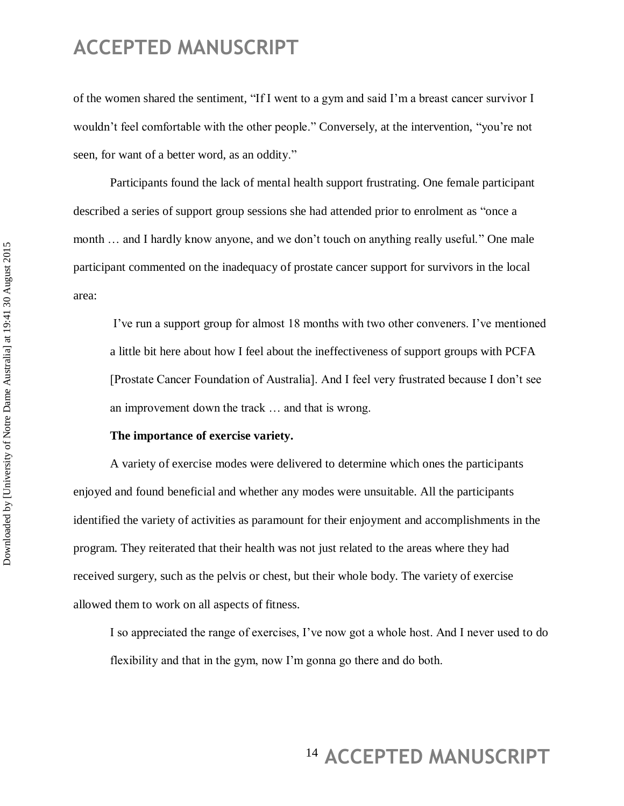of the women shared the sentiment, "If I went to a gym and said I'm a breast cancer survivor I wouldn't feel comfortable with the other people." Conversely, at the intervention, "you're not seen, for want of a better word, as an oddity."

Participants found the lack of mental health support frustrating. One female participant described a series of support group sessions she had attended prior to enrolment as "once a month ... and I hardly know anyone, and we don't touch on anything really useful." One male participant commented on the inadequacy of prostate cancer support for survivors in the local area:

I've run a support group for almost 18 months with two other conveners. I've mentioned a little bit here about how I feel about the ineffectiveness of support groups with PCFA [Prostate Cancer Foundation of Australia]. And I feel very frustrated because I don't see an improvement down the track … and that is wrong.

#### **The importance of exercise variety.**

A variety of exercise modes were delivered to determine which ones the participants enjoyed and found beneficial and whether any modes were unsuitable. All the participants identified the variety of activities as paramount for their enjoyment and accomplishments in the program. They reiterated that their health was not just related to the areas where they had received surgery, such as the pelvis or chest, but their whole body. The variety of exercise allowed them to work on all aspects of fitness.

I so appreciated the range of exercises, I've now got a whole host. And I never used to do flexibility and that in the gym, now I'm gonna go there and do both.

## <sup>14</sup> ACCEPTED MANUSCRIPT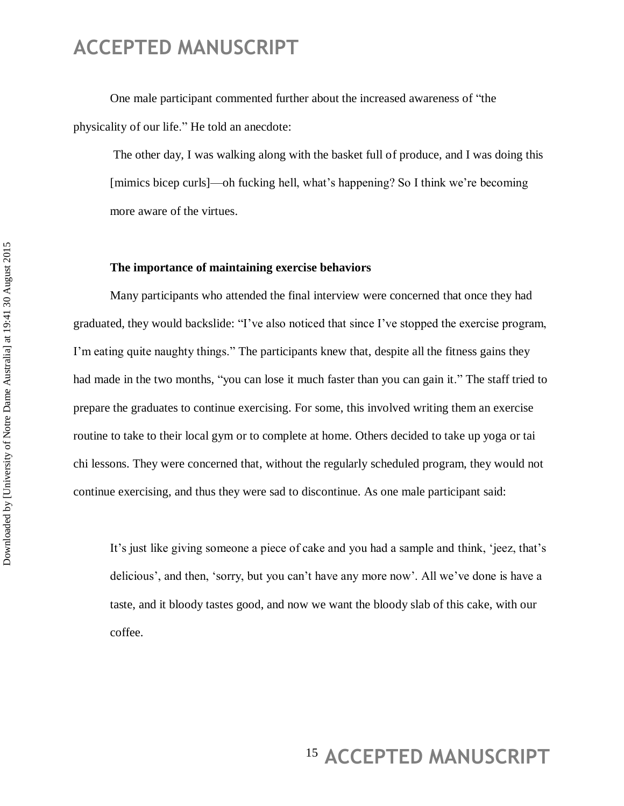One male participant commented further about the increased awareness of "the physicality of our life." He told an anecdote:

The other day, I was walking along with the basket full of produce, and I was doing this [mimics bicep curls]—oh fucking hell, what's happening? So I think we're becoming more aware of the virtues.

#### **The importance of maintaining exercise behaviors**

Many participants who attended the final interview were concerned that once they had graduated, they would backslide: "I've also noticed that since I've stopped the exercise program, I'm eating quite naughty things." The participants knew that, despite all the fitness gains they had made in the two months, "you can lose it much faster than you can gain it." The staff tried to prepare the graduates to continue exercising. For some, this involved writing them an exercise routine to take to their local gym or to complete at home. Others decided to take up yoga or tai chi lessons. They were concerned that, without the regularly scheduled program, they would not continue exercising, and thus they were sad to discontinue. As one male participant said:

It's just like giving someone a piece of cake and you had a sample and think, 'jeez, that's delicious', and then, 'sorry, but you can't have any more now'. All we've done is have a taste, and it bloody tastes good, and now we want the bloody slab of this cake, with our coffee.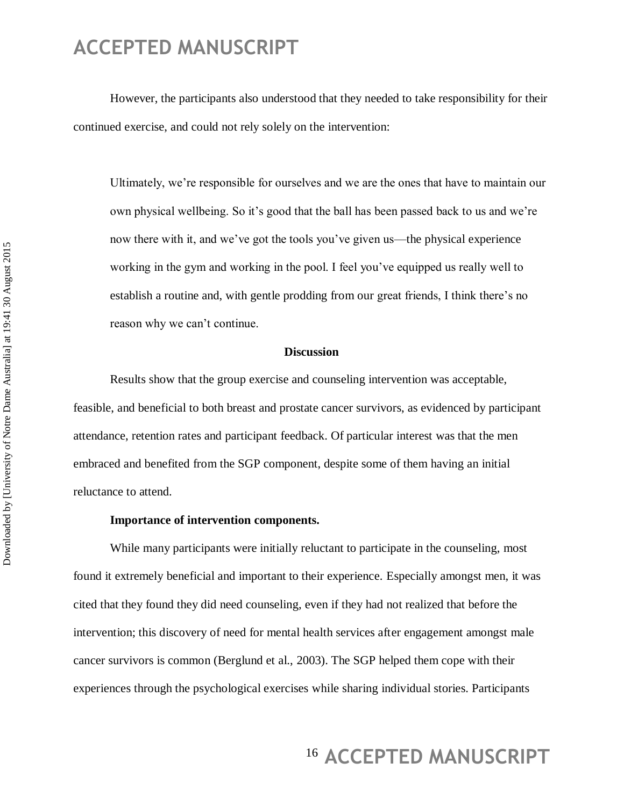However, the participants also understood that they needed to take responsibility for their continued exercise, and could not rely solely on the intervention:

Ultimately, we're responsible for ourselves and we are the ones that have to maintain our own physical wellbeing. So it's good that the ball has been passed back to us and we're now there with it, and we've got the tools you've given us—the physical experience working in the gym and working in the pool. I feel you've equipped us really well to establish a routine and, with gentle prodding from our great friends, I think there's no reason why we can't continue.

#### **Discussion**

Results show that the group exercise and counseling intervention was acceptable, feasible, and beneficial to both breast and prostate cancer survivors, as evidenced by participant attendance, retention rates and participant feedback. Of particular interest was that the men embraced and benefited from the SGP component, despite some of them having an initial reluctance to attend.

#### **Importance of intervention components.**

While many participants were initially reluctant to participate in the counseling, most found it extremely beneficial and important to their experience. Especially amongst men, it was cited that they found they did need counseling, even if they had not realized that before the intervention; this discovery of need for mental health services after engagement amongst male cancer survivors is common (Berglund et al., 2003). The SGP helped them cope with their experiences through the psychological exercises while sharing individual stories. Participants

## <sup>16</sup> ACCEPTED MANUSCRIPT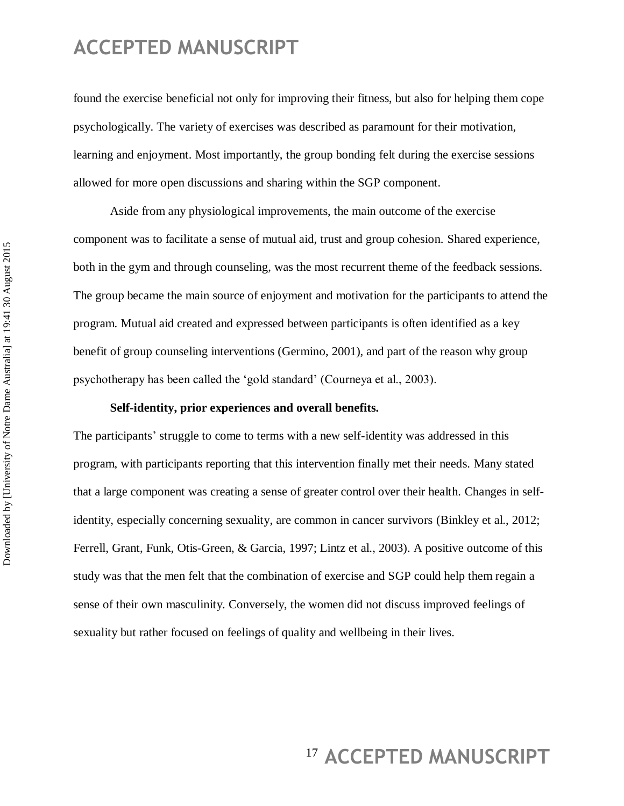found the exercise beneficial not only for improving their fitness, but also for helping them cope psychologically. The variety of exercises was described as paramount for their motivation, learning and enjoyment. Most importantly, the group bonding felt during the exercise sessions allowed for more open discussions and sharing within the SGP component.

Aside from any physiological improvements, the main outcome of the exercise component was to facilitate a sense of mutual aid, trust and group cohesion. Shared experience, both in the gym and through counseling, was the most recurrent theme of the feedback sessions. The group became the main source of enjoyment and motivation for the participants to attend the program. Mutual aid created and expressed between participants is often identified as a key benefit of group counseling interventions (Germino, 2001), and part of the reason why group psychotherapy has been called the ‗gold standard' (Courneya et al., 2003).

#### **Self-identity, prior experiences and overall benefits.**

The participants' struggle to come to terms with a new self-identity was addressed in this program, with participants reporting that this intervention finally met their needs. Many stated that a large component was creating a sense of greater control over their health. Changes in selfidentity, especially concerning sexuality, are common in cancer survivors (Binkley et al., 2012; Ferrell, Grant, Funk, Otis-Green, & Garcia, 1997; Lintz et al., 2003). A positive outcome of this study was that the men felt that the combination of exercise and SGP could help them regain a sense of their own masculinity. Conversely, the women did not discuss improved feelings of sexuality but rather focused on feelings of quality and wellbeing in their lives.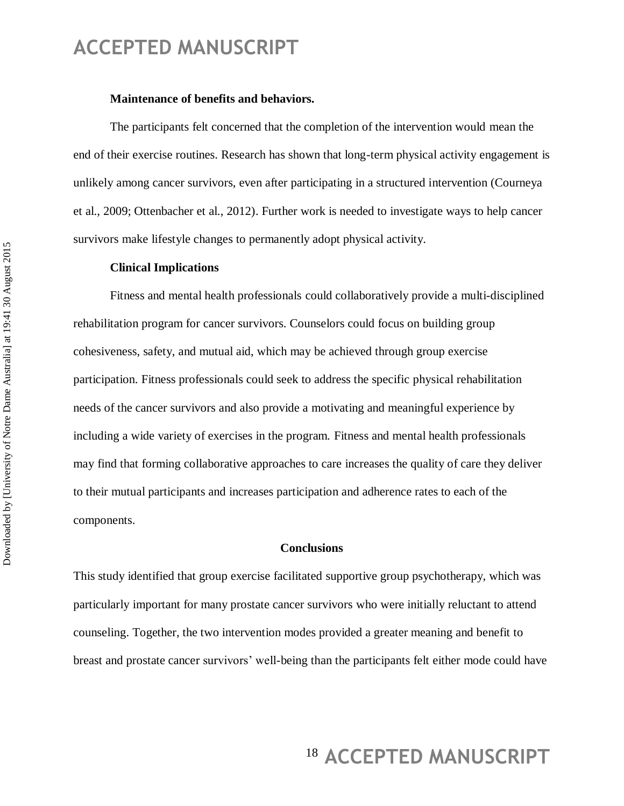#### **Maintenance of benefits and behaviors.**

The participants felt concerned that the completion of the intervention would mean the end of their exercise routines. Research has shown that long-term physical activity engagement is unlikely among cancer survivors, even after participating in a structured intervention (Courneya et al., 2009; Ottenbacher et al., 2012). Further work is needed to investigate ways to help cancer survivors make lifestyle changes to permanently adopt physical activity.

#### **Clinical Implications**

Fitness and mental health professionals could collaboratively provide a multi-disciplined rehabilitation program for cancer survivors. Counselors could focus on building group cohesiveness, safety, and mutual aid, which may be achieved through group exercise participation. Fitness professionals could seek to address the specific physical rehabilitation needs of the cancer survivors and also provide a motivating and meaningful experience by including a wide variety of exercises in the program. Fitness and mental health professionals may find that forming collaborative approaches to care increases the quality of care they deliver to their mutual participants and increases participation and adherence rates to each of the components.

#### **Conclusions**

This study identified that group exercise facilitated supportive group psychotherapy, which was particularly important for many prostate cancer survivors who were initially reluctant to attend counseling. Together, the two intervention modes provided a greater meaning and benefit to breast and prostate cancer survivors' well-being than the participants felt either mode could have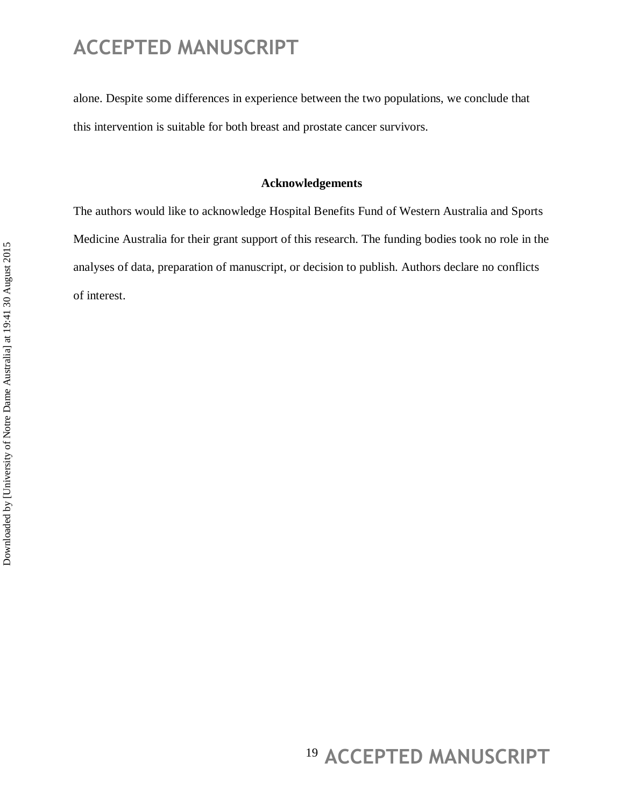alone. Despite some differences in experience between the two populations, we conclude that this intervention is suitable for both breast and prostate cancer survivors.

#### **Acknowledgements**

The authors would like to acknowledge Hospital Benefits Fund of Western Australia and Sports Medicine Australia for their grant support of this research. The funding bodies took no role in the analyses of data, preparation of manuscript, or decision to publish. Authors declare no conflicts of interest.

## <sup>19</sup> ACCEPTED MANUSCRIPT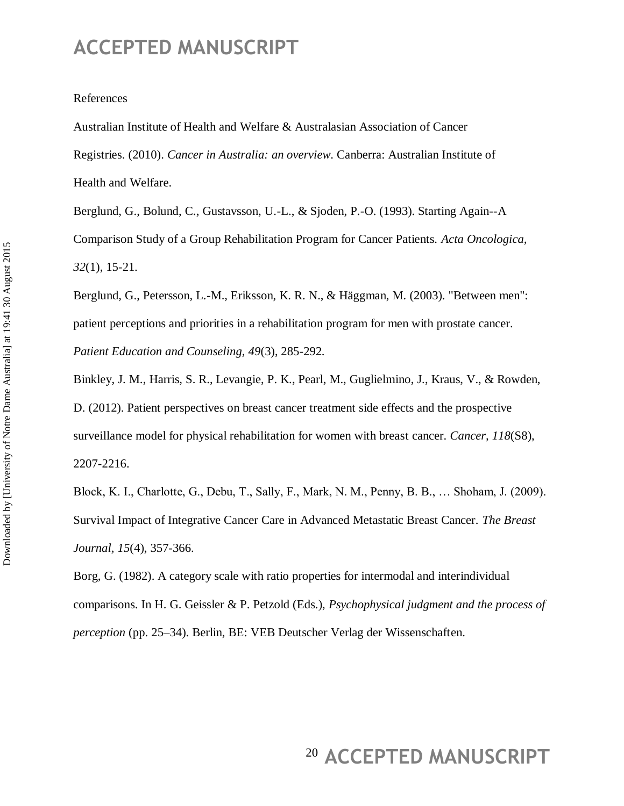#### References

Australian Institute of Health and Welfare & Australasian Association of Cancer Registries. (2010). *Cancer in Australia: an overview*. Canberra: Australian Institute of Health and Welfare.

Berglund, G., Bolund, C., Gustavsson, U.-L., & Sjoden, P.-O. (1993). Starting Again--A Comparison Study of a Group Rehabilitation Program for Cancer Patients. *Acta Oncologica, 32*(1), 15-21.

Berglund, G., Petersson, L.-M., Eriksson, K. R. N., & Häggman, M. (2003). "Between men": patient perceptions and priorities in a rehabilitation program for men with prostate cancer. *Patient Education and Counseling, 49*(3), 285-292.

Binkley, J. M., Harris, S. R., Levangie, P. K., Pearl, M., Guglielmino, J., Kraus, V., & Rowden, D. (2012). Patient perspectives on breast cancer treatment side effects and the prospective surveillance model for physical rehabilitation for women with breast cancer. *Cancer, 118*(S8), 2207-2216.

Block, K. I., Charlotte, G., Debu, T., Sally, F., Mark, N. M., Penny, B. B., … Shoham, J. (2009). Survival Impact of Integrative Cancer Care in Advanced Metastatic Breast Cancer. *The Breast Journal, 15*(4), 357-366.

Borg, G. (1982). A category scale with ratio properties for intermodal and interindividual comparisons. In H. G. Geissler & P. Petzold (Eds.), *Psychophysical judgment and the process of perception* (pp. 25–34). Berlin, BE: VEB Deutscher Verlag der Wissenschaften.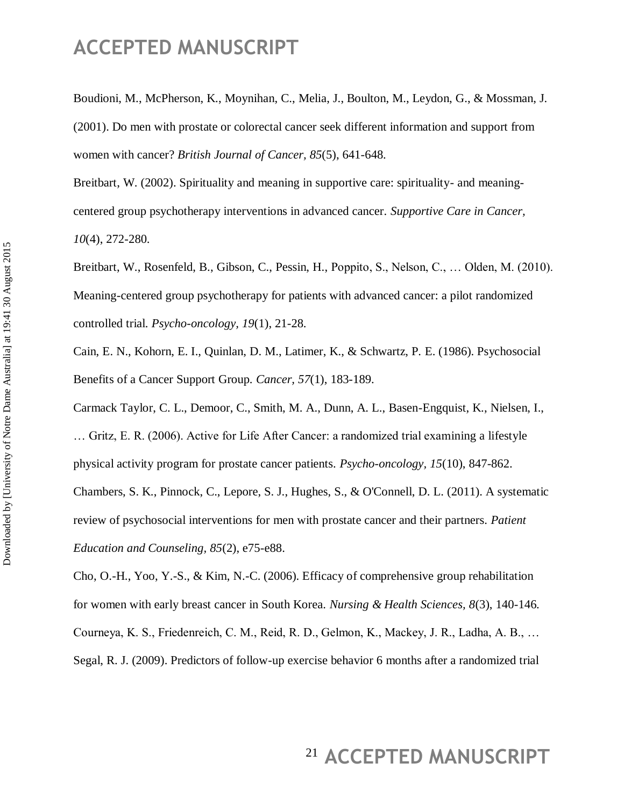Boudioni, M., McPherson, K., Moynihan, C., Melia, J., Boulton, M., Leydon, G., & Mossman, J. (2001). Do men with prostate or colorectal cancer seek different information and support from women with cancer? *British Journal of Cancer, 85*(5), 641-648.

Breitbart, W. (2002). Spirituality and meaning in supportive care: spirituality- and meaningcentered group psychotherapy interventions in advanced cancer. *Supportive Care in Cancer, 10*(4), 272-280.

Breitbart, W., Rosenfeld, B., Gibson, C., Pessin, H., Poppito, S., Nelson, C., … Olden, M. (2010). Meaning-centered group psychotherapy for patients with advanced cancer: a pilot randomized controlled trial. *Psycho-oncology, 19*(1), 21-28.

Cain, E. N., Kohorn, E. I., Quinlan, D. M., Latimer, K., & Schwartz, P. E. (1986). Psychosocial Benefits of a Cancer Support Group. *Cancer, 57*(1), 183-189.

Carmack Taylor, C. L., Demoor, C., Smith, M. A., Dunn, A. L., Basen-Engquist, K., Nielsen, I., … Gritz, E. R. (2006). Active for Life After Cancer: a randomized trial examining a lifestyle physical activity program for prostate cancer patients. *Psycho-oncology, 15*(10), 847-862. Chambers, S. K., Pinnock, C., Lepore, S. J., Hughes, S., & O'Connell, D. L. (2011). A systematic review of psychosocial interventions for men with prostate cancer and their partners. *Patient Education and Counseling, 85*(2), e75-e88.

Cho, O.-H., Yoo, Y.-S., & Kim, N.-C. (2006). Efficacy of comprehensive group rehabilitation for women with early breast cancer in South Korea. *Nursing & Health Sciences, 8*(3), 140-146. Courneya, K. S., Friedenreich, C. M., Reid, R. D., Gelmon, K., Mackey, J. R., Ladha, A. B., … Segal, R. J. (2009). Predictors of follow-up exercise behavior 6 months after a randomized trial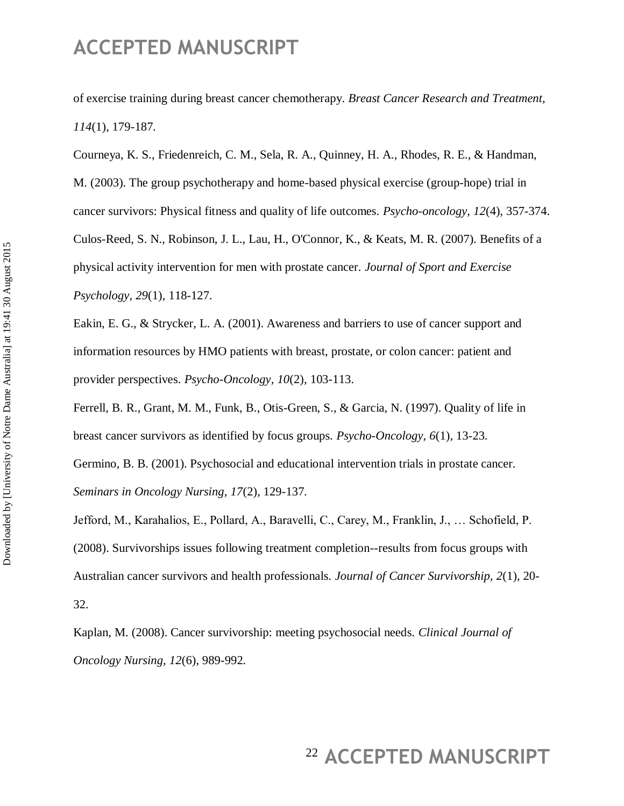of exercise training during breast cancer chemotherapy. *Breast Cancer Research and Treatment, 114*(1), 179-187.

Courneya, K. S., Friedenreich, C. M., Sela, R. A., Quinney, H. A., Rhodes, R. E., & Handman, M. (2003). The group psychotherapy and home-based physical exercise (group-hope) trial in cancer survivors: Physical fitness and quality of life outcomes. *Psycho-oncology, 12*(4), 357-374. Culos-Reed, S. N., Robinson, J. L., Lau, H., O'Connor, K., & Keats, M. R. (2007). Benefits of a physical activity intervention for men with prostate cancer. *Journal of Sport and Exercise Psychology, 29*(1), 118-127.

Eakin, E. G., & Strycker, L. A. (2001). Awareness and barriers to use of cancer support and information resources by HMO patients with breast, prostate, or colon cancer: patient and provider perspectives. *Psycho-Oncology, 10*(2), 103-113.

Ferrell, B. R., Grant, M. M., Funk, B., Otis-Green, S., & Garcia, N. (1997). Quality of life in breast cancer survivors as identified by focus groups. *Psycho-Oncology, 6*(1), 13-23.

Germino, B. B. (2001). Psychosocial and educational intervention trials in prostate cancer. *Seminars in Oncology Nursing, 17*(2), 129-137.

Jefford, M., Karahalios, E., Pollard, A., Baravelli, C., Carey, M., Franklin, J., … Schofield, P. (2008). Survivorships issues following treatment completion--results from focus groups with Australian cancer survivors and health professionals. *Journal of Cancer Survivorship, 2*(1), 20- 32.

Kaplan, M. (2008). Cancer survivorship: meeting psychosocial needs. *Clinical Journal of Oncology Nursing, 12*(6), 989-992.

## <sup>22</sup> ACCEPTED MANUSCRIPT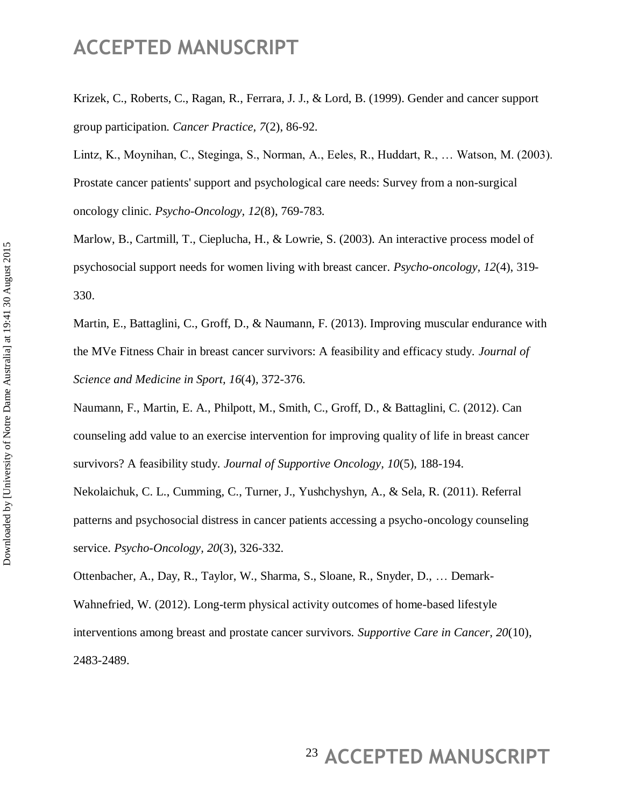Krizek, C., Roberts, C., Ragan, R., Ferrara, J. J., & Lord, B. (1999). Gender and cancer support group participation. *Cancer Practice, 7*(2), 86-92.

Lintz, K., Moynihan, C., Steginga, S., Norman, A., Eeles, R., Huddart, R., … Watson, M. (2003). Prostate cancer patients' support and psychological care needs: Survey from a non-surgical oncology clinic. *Psycho-Oncology, 12*(8), 769-783.

Marlow, B., Cartmill, T., Cieplucha, H., & Lowrie, S. (2003). An interactive process model of psychosocial support needs for women living with breast cancer. *Psycho-oncology, 12*(4), 319- 330.

Martin, E., Battaglini, C., Groff, D., & Naumann, F. (2013). Improving muscular endurance with the MVe Fitness Chair in breast cancer survivors: A feasibility and efficacy study. *Journal of Science and Medicine in Sport, 16*(4), 372-376.

Naumann, F., Martin, E. A., Philpott, M., Smith, C., Groff, D., & Battaglini, C. (2012). Can counseling add value to an exercise intervention for improving quality of life in breast cancer survivors? A feasibility study. *Journal of Supportive Oncology, 10*(5), 188-194.

Nekolaichuk, C. L., Cumming, C., Turner, J., Yushchyshyn, A., & Sela, R. (2011). Referral patterns and psychosocial distress in cancer patients accessing a psycho-oncology counseling service. *Psycho-Oncology, 20*(3), 326-332.

Ottenbacher, A., Day, R., Taylor, W., Sharma, S., Sloane, R., Snyder, D., … Demark-Wahnefried, W. (2012). Long-term physical activity outcomes of home-based lifestyle interventions among breast and prostate cancer survivors. *Supportive Care in Cancer, 20*(10), 2483-2489.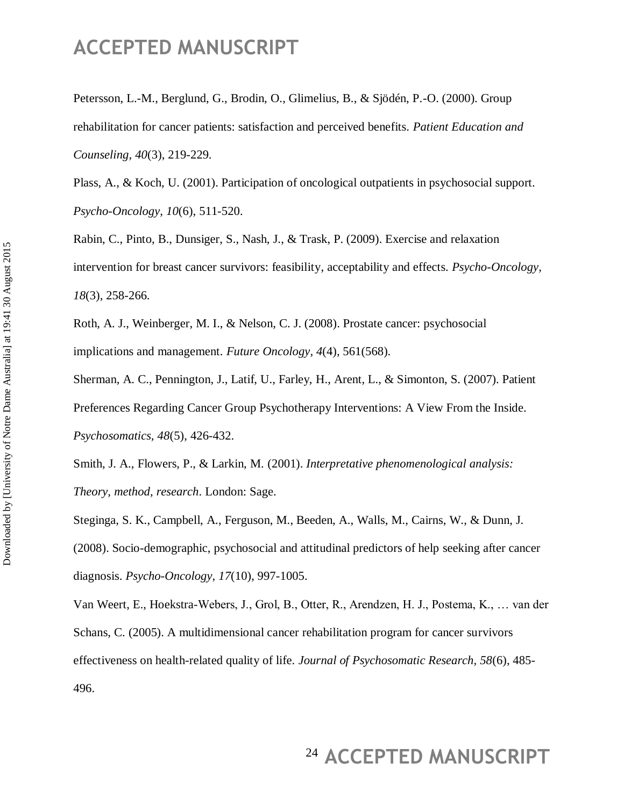Petersson, L.-M., Berglund, G., Brodin, O., Glimelius, B., & Sjödén, P.-O. (2000). Group rehabilitation for cancer patients: satisfaction and perceived benefits. *Patient Education and Counseling, 40*(3), 219-229.

Plass, A., & Koch, U. (2001). Participation of oncological outpatients in psychosocial support. *Psycho-Oncology, 10*(6), 511-520.

Rabin, C., Pinto, B., Dunsiger, S., Nash, J., & Trask, P. (2009). Exercise and relaxation intervention for breast cancer survivors: feasibility, acceptability and effects. *Psycho-Oncology, 18*(3), 258-266.

Roth, A. J., Weinberger, M. I., & Nelson, C. J. (2008). Prostate cancer: psychosocial implications and management. *Future Oncology, 4*(4), 561(568).

Sherman, A. C., Pennington, J., Latif, U., Farley, H., Arent, L., & Simonton, S. (2007). Patient Preferences Regarding Cancer Group Psychotherapy Interventions: A View From the Inside. *Psychosomatics, 48*(5), 426-432.

Smith, J. A., Flowers, P., & Larkin, M. (2001). *Interpretative phenomenological analysis: Theory, method, research*. London: Sage.

Steginga, S. K., Campbell, A., Ferguson, M., Beeden, A., Walls, M., Cairns, W., & Dunn, J. (2008). Socio-demographic, psychosocial and attitudinal predictors of help seeking after cancer diagnosis. *Psycho-Oncology, 17*(10), 997-1005.

Van Weert, E., Hoekstra-Webers, J., Grol, B., Otter, R., Arendzen, H. J., Postema, K., … van der Schans, C. (2005). A multidimensional cancer rehabilitation program for cancer survivors effectiveness on health-related quality of life. *Journal of Psychosomatic Research, 58*(6), 485- 496.

## <sup>24</sup> ACCEPTED MANUSCRIPT